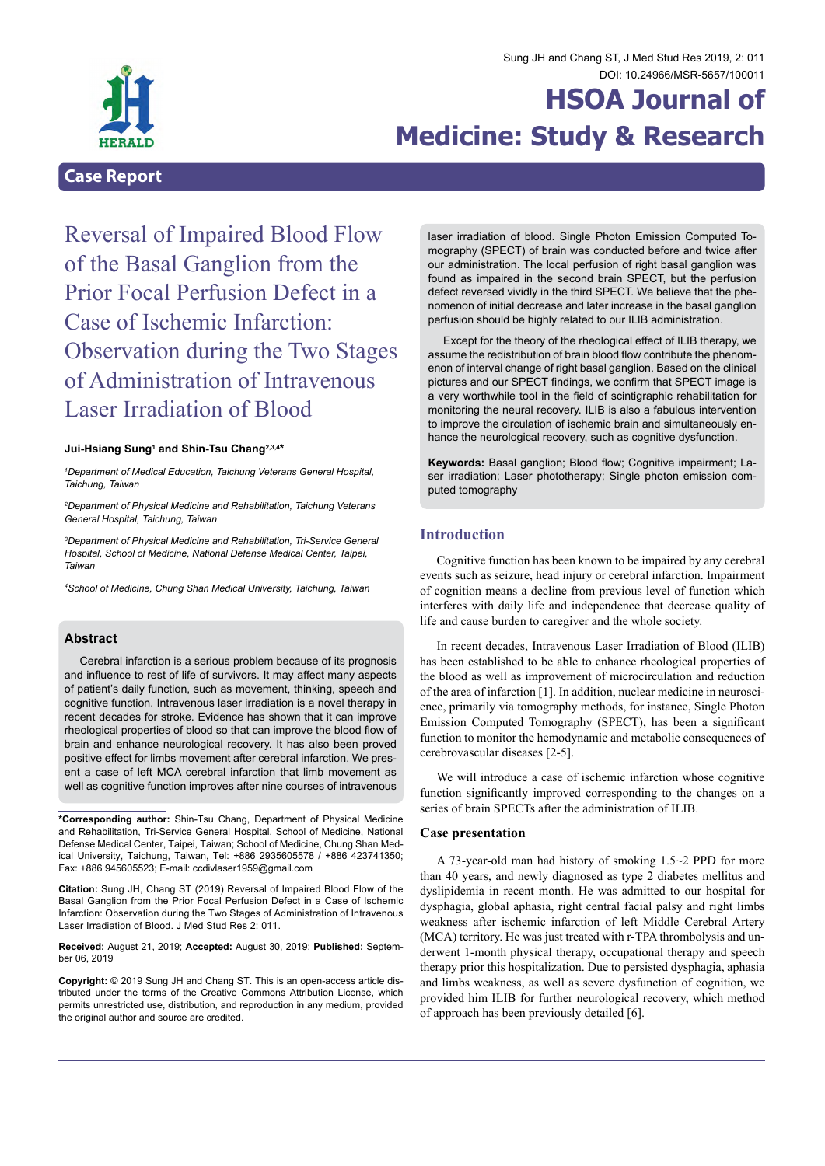

## Sung JH and Chang ST, J Med Stud Res 2019, 2: 011 DOI: [10.24966/MSR-5657/10001](http://doi.org/10.24966/MSR-5657/100011)1

# **HSOA Journal of Medicine: Study & Research**

## **Case Report**

Reversal of Impaired Blood Flow of the Basal Ganglion from the Prior Focal Perfusion Defect in a Case of Ischemic Infarction: Observation during the Two Stages of Administration of Intravenous Laser Irradiation of Blood

#### **Jui-Hsiang Sung1 and Shin-Tsu Chang2,3,4\***

*1 Department of Medical Education, Taichung Veterans General Hospital, Taichung, Taiwan*

*2 Department of Physical Medicine and Rehabilitation, Taichung Veterans General Hospital, Taichung, Taiwan*

*3 Department of Physical Medicine and Rehabilitation, Tri-Service General Hospital, School of Medicine, National Defense Medical Center, Taipei, Taiwan*

*4 School of Medicine, Chung Shan Medical University, Taichung, Taiwan*

## **Abstract**

Cerebral infarction is a serious problem because of its prognosis and influence to rest of life of survivors. It may affect many aspects of patient's daily function, such as movement, thinking, speech and cognitive function. Intravenous laser irradiation is a novel therapy in recent decades for stroke. Evidence has shown that it can improve rheological properties of blood so that can improve the blood flow of brain and enhance neurological recovery. It has also been proved positive effect for limbs movement after cerebral infarction. We present a case of left MCA cerebral infarction that limb movement as well as cognitive function improves after nine courses of intravenous

**\*Corresponding author:** Shin-Tsu Chang, Department of Physical Medicine and Rehabilitation, Tri-Service General Hospital, School of Medicine, National ical University, Taichung, Taiwan, Tel: +886 2935605578 / +886 423741350; Fax: +886 945605523; E-mail: ccdivlaser1959@gmail.com

**Citation:** Sung JH, Chang ST (2019) Reversal of Impaired Blood Flow of the Basal Ganglion from the Prior Focal Perfusion Defect in a Case of Ischemic Infarction: Observation during the Two Stages of Administration of Intravenous Laser Irradiation of Blood. J Med Stud Res 2: 011.

**Received:** August 21, 2019; **Accepted:** August 30, 2019; **Published:** Septem- ber 06, 2019

**Copyright:** © 2019 Sung JH and Chang ST. This is an open-access article dis- tributed under the terms of the Creative Commons Attribution License, which permits unrestricted use, distribution, and reproduction in any medium, provided the original author and source are credited.

laser irradiation of blood. Single Photon Emission Computed Tomography (SPECT) of brain was conducted before and twice after our administration. The local perfusion of right basal ganglion was found as impaired in the second brain SPECT, but the perfusion defect reversed vividly in the third SPECT. We believe that the phenomenon of initial decrease and later increase in the basal ganglion perfusion should be highly related to our ILIB administration.

Except for the theory of the rheological effect of ILIB therapy, we assume the redistribution of brain blood flow contribute the phenomenon of interval change of right basal ganglion. Based on the clinical pictures and our SPECT findings, we confirm that SPECT image is a very worthwhile tool in the field of scintigraphic rehabilitation for monitoring the neural recovery. ILIB is also a fabulous intervention to improve the circulation of ischemic brain and simultaneously enhance the neurological recovery, such as cognitive dysfunction.

**Keywords:** Basal ganglion; Blood flow; Cognitive impairment; Laser irradiation; Laser phototherapy; Single photon emission computed tomography

## **Introduction**

Cognitive function has been known to be impaired by any cerebral events such as seizure, head injury or cerebral infarction. Impairment of cognition means a decline from previous level of function which interferes with daily life and independence that decrease quality of life and cause burden to caregiver and the whole society.

In recent decades, Intravenous Laser Irradiation of Blood (ILIB) has been established to be able to enhance rheological properties of the blood as well as improvement of microcirculation and reduction of the area of infarction [1]. In addition, nuclear medicine in neuroscience, primarily via tomography methods, for instance, Single Photon Emission Computed Tomography (SPECT), has been a significant function to monitor the hemodynamic and metabolic consequences of cerebrovascular diseases [2-5].

We will introduce a case of ischemic infarction whose cognitive function significantly improved corresponding to the changes on a series of brain SPECTs after the administration of ILIB.

#### **Case presentation**

A 73-year-old man had history of smoking 1.5~2 PPD for more than 40 years, and newly diagnosed as type 2 diabetes mellitus and dyslipidemia in recent month. He was admitted to our hospital for dysphagia, global aphasia, right central facial palsy and right limbs weakness after ischemic infarction of left Middle Cerebral Artery (MCA) territory. He was just treated with r-TPA thrombolysis and underwent 1-month physical therapy, occupational therapy and speech therapy prior this hospitalization. Due to persisted dysphagia, aphasia and limbs weakness, as well as severe dysfunction of cognition, we provided him ILIB for further neurological recovery, which method of approach has been previously detailed [6].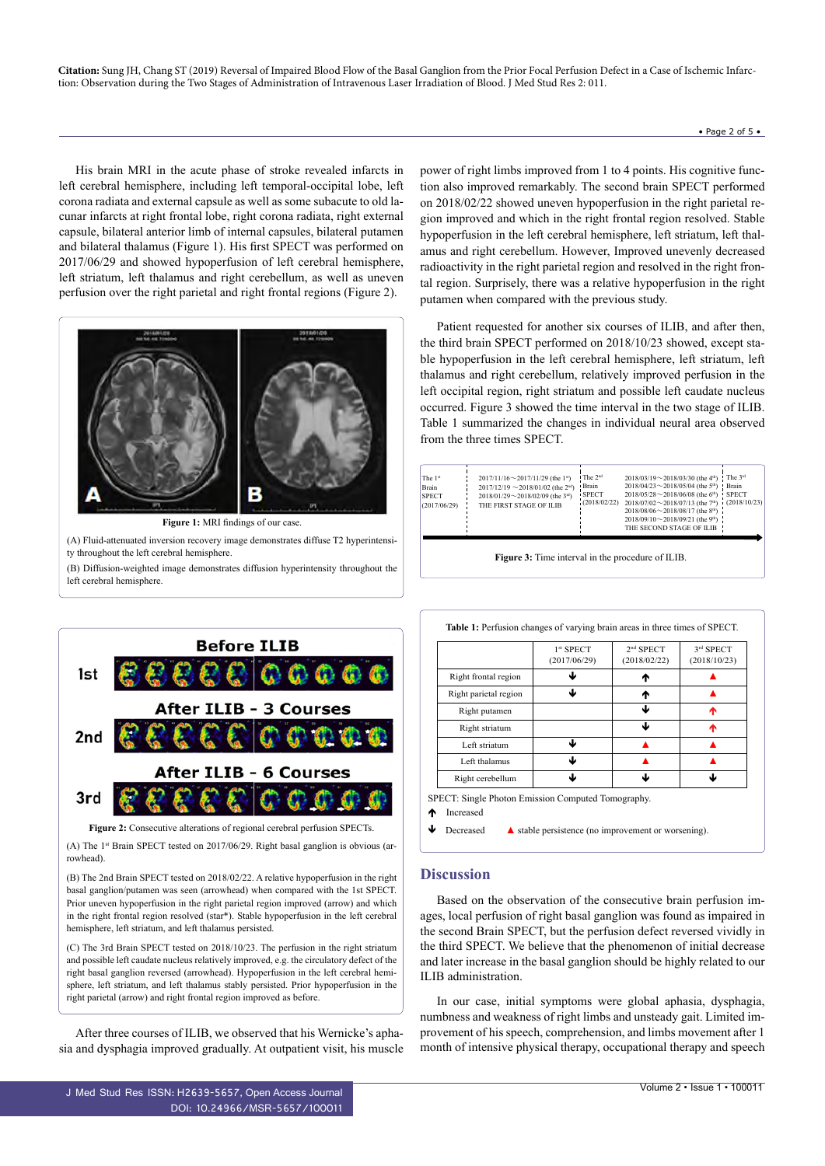**Citation:** Sung JH, Chang ST (2019) Reversal of Impaired Blood Flow of the Basal Ganglion from the Prior Focal Perfusion Defect in a Case of Ischemic Infarction: Observation during the Two Stages of Administration of Intravenous Laser Irradiation of Blood. J Med Stud Res 2: 011.

His brain MRI in the acute phase of stroke revealed infarcts in left cerebral hemisphere, including left temporal-occipital lobe, left corona radiata and external capsule as well as some subacute to old lacunar infarcts at right frontal lobe, right corona radiata, right external capsule, bilateral anterior limb of internal capsules, bilateral putamen and bilateral thalamus (Figure 1). His first SPECT was performed on 2017/06/29 and showed hypoperfusion of left cerebral hemisphere, left striatum, left thalamus and right cerebellum, as well as uneven perfusion over the right parietal and right frontal regions (Figure 2).



**Figure 1:** MRI findings of our case.

(A) Fluid-attenuated inversion recovery image demonstrates diffuse T2 hyperintensity throughout the left cerebral hemisphere.

(B) Diffusion-weighted image demonstrates diffusion hyperintensity throughout the left cerebral hemisphere.

power of right limbs improved from 1 to 4 points. His cognitive function also improved remarkably. The second brain SPECT performed on 2018/02/22 showed uneven hypoperfusion in the right parietal region improved and which in the right frontal region resolved. Stable hypoperfusion in the left cerebral hemisphere, left striatum, left thalamus and right cerebellum. However, Improved unevenly decreased radioactivity in the right parietal region and resolved in the right frontal region. Surprisely, there was a relative hypoperfusion in the right putamen when compared with the previous study.

Patient requested for another six courses of ILIB, and after then, the third brain SPECT performed on 2018/10/23 showed, except stable hypoperfusion in the left cerebral hemisphere, left striatum, left thalamus and right cerebellum, relatively improved perfusion in the left occipital region, right striatum and possible left caudate nucleus occurred. Figure 3 showed the time interval in the two stage of ILIB. Table 1 summarized the changes in individual neural area observed from the three times SPECT.

|  | The 1st<br>Brain<br><b>SPECT</b><br>(2017/06/29) | $2017/11/16 \sim 2017/11/29$ (the 1s)<br>$2017/12/19 \sim 2018/01/02$ (the 2 <sup>nd</sup> )<br>2018/01/29 $\sim$ 2018/02/09 (the 3rd)<br>THE FIRST STAGE OF ILIB | <sup>1</sup> The 2 <sup>nd</sup><br><b>Brain</b><br><b>SPECT</b><br>(2018/02/22) | 2018/03/19 $\sim$ 2018/03/30 (the 4 <sup>th</sup> ) ! The 3 <sup>rd</sup><br>2018/04/23 ~ 2018/05/04 (the 5 <sup>th</sup> ) Brain<br>2018/05/28 ~ 2018/06/08 (the $6^{\text{th}}$ ) SPECT<br>$2018/07/02 \sim 2018/07/13$ (the $7th$ ) (2018/10/23)<br>$2018/08/06 \sim 2018/08/17$ (the 8 <sup>th</sup> )<br>$2018/09/10 \sim 2018/09/21$ (the 9 <sup>th</sup> )<br>THE SECOND STAGE OF ILIB |  |
|--|--------------------------------------------------|-------------------------------------------------------------------------------------------------------------------------------------------------------------------|----------------------------------------------------------------------------------|-----------------------------------------------------------------------------------------------------------------------------------------------------------------------------------------------------------------------------------------------------------------------------------------------------------------------------------------------------------------------------------------------|--|
|--|--------------------------------------------------|-------------------------------------------------------------------------------------------------------------------------------------------------------------------|----------------------------------------------------------------------------------|-----------------------------------------------------------------------------------------------------------------------------------------------------------------------------------------------------------------------------------------------------------------------------------------------------------------------------------------------------------------------------------------------|--|

**Figure 3:** Time interval in the procedure of ILIB.



**Figure 2:** Consecutive alterations of regional cerebral perfusion SPECTs.

(A) The  $1<sup>st</sup>$  Brain SPECT tested on 2017/06/29. Right basal ganglion is obvious (arrowhead).

(B) The 2nd Brain SPECT tested on 2018/02/22. A relative hypoperfusion in the right basal ganglion/putamen was seen (arrowhead) when compared with the 1st SPECT. Prior uneven hypoperfusion in the right parietal region improved (arrow) and which in the right frontal region resolved (star\*). Stable hypoperfusion in the left cerebral hemisphere, left striatum, and left thalamus persisted.

(C) The 3rd Brain SPECT tested on 2018/10/23. The perfusion in the right striatum and possible left caudate nucleus relatively improved, e.g. the circulatory defect of the right basal ganglion reversed (arrowhead). Hypoperfusion in the left cerebral hemisphere, left striatum, and left thalamus stably persisted. Prior hypoperfusion in the right parietal (arrow) and right frontal region improved as before.

After three courses of ILIB, we observed that his Wernicke's aphasia and dysphagia improved gradually. At outpatient visit, his muscle **Table 1:** Perfusion changes of varying brain areas in three times of SPECT.

| Right frontal region  |   | ₼ |   |
|-----------------------|---|---|---|
| Right parietal region | ⊌ | ₼ |   |
| Right putamen         |   | ↓ | ^ |
| Right striatum        |   | ↓ | ^ |
| Left striatum         | J |   |   |
| Left thalamus         | J |   |   |
| Right cerebellum      | J | J | J |

Decreased ▲ stable persistence (no improvement or worsening).

## **Discussion**

Based on the observation of the consecutive brain perfusion images, local perfusion of right basal ganglion was found as impaired in the second Brain SPECT, but the perfusion defect reversed vividly in the third SPECT. We believe that the phenomenon of initial decrease and later increase in the basal ganglion should be highly related to our ILIB administration.

In our case, initial symptoms were global aphasia, dysphagia, numbness and weakness of right limbs and unsteady gait. Limited improvement of his speech, comprehension, and limbs movement after 1 month of intensive physical therapy, occupational therapy and speech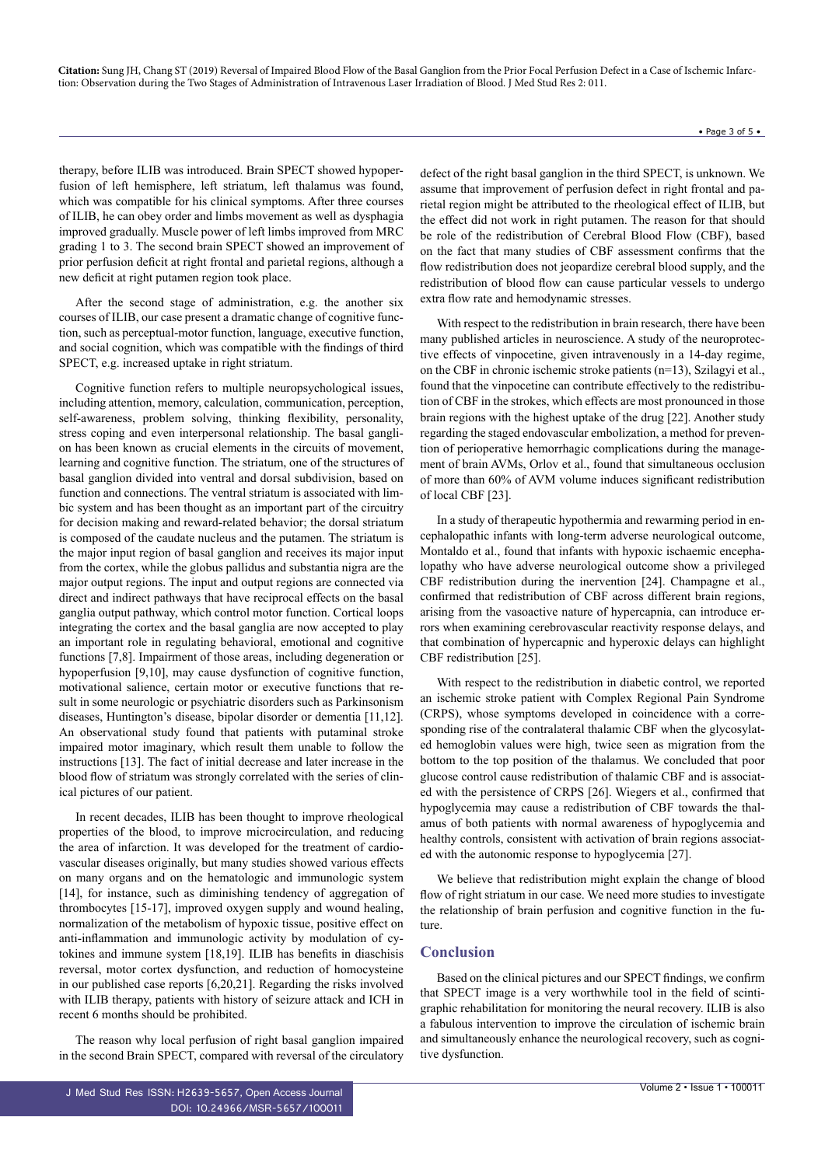**Citation:** Sung JH, Chang ST (2019) Reversal of Impaired Blood Flow of the Basal Ganglion from the Prior Focal Perfusion Defect in a Case of Ischemic Infarction: Observation during the Two Stages of Administration of Intravenous Laser Irradiation of Blood. J Med Stud Res 2: 011.

therapy, before ILIB was introduced. Brain SPECT showed hypoperfusion of left hemisphere, left striatum, left thalamus was found, which was compatible for his clinical symptoms. After three courses of ILIB, he can obey order and limbs movement as well as dysphagia improved gradually. Muscle power of left limbs improved from MRC grading 1 to 3. The second brain SPECT showed an improvement of prior perfusion deficit at right frontal and parietal regions, although a new deficit at right putamen region took place.

After the second stage of administration, e.g. the another six courses of ILIB, our case present a dramatic change of cognitive function, such as perceptual-motor function, language, executive function, and social cognition, which was compatible with the findings of third SPECT, e.g. increased uptake in right striatum.

Cognitive function refers to multiple neuropsychological issues, including attention, memory, calculation, communication, perception, self-awareness, problem solving, thinking flexibility, personality, stress coping and even interpersonal relationship. The basal ganglion has been known as crucial elements in the circuits of movement, learning and cognitive function. The striatum, one of the structures of basal ganglion divided into ventral and dorsal subdivision, based on function and connections. The ventral striatum is associated with limbic system and has been thought as an important part of the circuitry for decision making and reward-related behavior; the dorsal striatum is composed of the caudate nucleus and the putamen. The striatum is the major input region of basal ganglion and receives its major input from the cortex, while the globus pallidus and substantia nigra are the major output regions. The input and output regions are connected via direct and indirect pathways that have reciprocal effects on the basal ganglia output pathway, which control motor function. Cortical loops integrating the cortex and the basal ganglia are now accepted to play an important role in regulating behavioral, emotional and cognitive functions [7,8]. Impairment of those areas, including degeneration or hypoperfusion [9,10], may cause dysfunction of cognitive function, motivational salience, certain motor or executive functions that result in some neurologic or psychiatric disorders such as Parkinsonism diseases, Huntington's disease, bipolar disorder or dementia [11,12]. An observational study found that patients with putaminal stroke impaired motor imaginary, which result them unable to follow the instructions [13]. The fact of initial decrease and later increase in the blood flow of striatum was strongly correlated with the series of clinical pictures of our patient.

In recent decades, ILIB has been thought to improve rheological properties of the blood, to improve microcirculation, and reducing the area of infarction. It was developed for the treatment of cardiovascular diseases originally, but many studies showed various effects on many organs and on the hematologic and immunologic system [14], for instance, such as diminishing tendency of aggregation of thrombocytes [15-17], improved oxygen supply and wound healing, normalization of the metabolism of hypoxic tissue, positive effect on anti-inflammation and immunologic activity by modulation of cytokines and immune system [18,19]. ILIB has benefits in diaschisis reversal, motor cortex dysfunction, and reduction of homocysteine in our published case reports [6,20,21]. Regarding the risks involved with ILIB therapy, patients with history of seizure attack and ICH in recent 6 months should be prohibited.

The reason why local perfusion of right basal ganglion impaired in the second Brain SPECT, compared with reversal of the circulatory

defect of the right basal ganglion in the third SPECT, is unknown. We assume that improvement of perfusion defect in right frontal and parietal region might be attributed to the rheological effect of ILIB, but the effect did not work in right putamen. The reason for that should be role of the redistribution of Cerebral Blood Flow (CBF), based on the fact that many studies of CBF assessment confirms that the flow redistribution does not jeopardize cerebral blood supply, and the redistribution of blood flow can cause particular vessels to undergo extra flow rate and hemodynamic stresses.

With respect to the redistribution in brain research, there have been many published articles in neuroscience. A study of the neuroprotective effects of vinpocetine, given intravenously in a 14-day regime, on the CBF in chronic ischemic stroke patients (n=13), Szilagyi et al., found that the vinpocetine can contribute effectively to the redistribution of CBF in the strokes, which effects are most pronounced in those brain regions with the highest uptake of the drug [22]. Another study regarding the staged endovascular embolization, a method for prevention of perioperative hemorrhagic complications during the management of brain AVMs, Orlov et al., found that simultaneous occlusion of more than 60% of AVM volume induces significant redistribution of local CBF [23].

In a study of therapeutic hypothermia and rewarming period in encephalopathic infants with long-term adverse neurological outcome, Montaldo et al., found that infants with hypoxic ischaemic encephalopathy who have adverse neurological outcome show a privileged CBF redistribution during the inervention [24]. Champagne et al., confirmed that redistribution of CBF across different brain regions, arising from the vasoactive nature of hypercapnia, can introduce errors when examining cerebrovascular reactivity response delays, and that combination of hypercapnic and hyperoxic delays can highlight CBF redistribution [25].

With respect to the redistribution in diabetic control, we reported an ischemic stroke patient with Complex Regional Pain Syndrome (CRPS), whose symptoms developed in coincidence with a corresponding rise of the contralateral thalamic CBF when the glycosylated hemoglobin values were high, twice seen as migration from the bottom to the top position of the thalamus. We concluded that poor glucose control cause redistribution of thalamic CBF and is associated with the persistence of CRPS [26]. Wiegers et al., confirmed that hypoglycemia may cause a redistribution of CBF towards the thalamus of both patients with normal awareness of hypoglycemia and healthy controls, consistent with activation of brain regions associated with the autonomic response to hypoglycemia [27].

We believe that redistribution might explain the change of blood flow of right striatum in our case. We need more studies to investigate the relationship of brain perfusion and cognitive function in the future.

## **Conclusion**

Based on the clinical pictures and our SPECT findings, we confirm that SPECT image is a very worthwhile tool in the field of scintigraphic rehabilitation for monitoring the neural recovery. ILIB is also a fabulous intervention to improve the circulation of ischemic brain and simultaneously enhance the neurological recovery, such as cognitive dysfunction.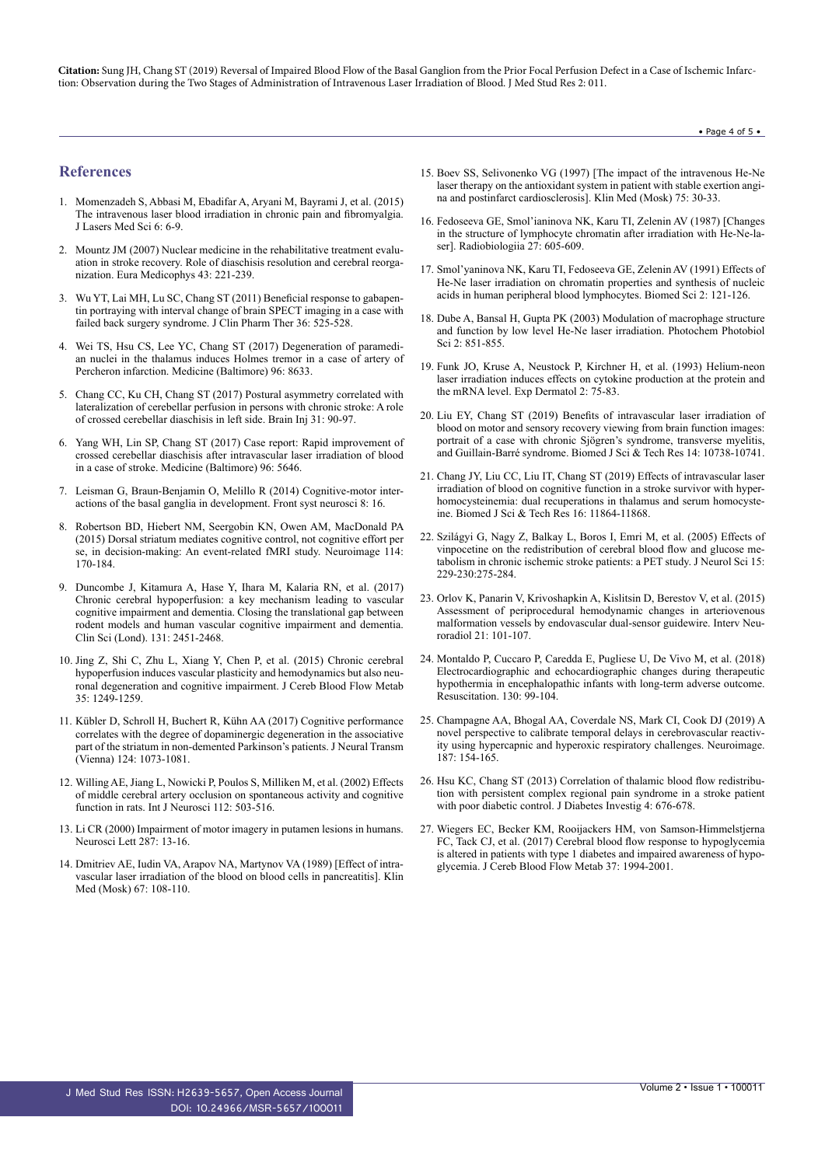**Citation:** Sung JH, Chang ST (2019) Reversal of Impaired Blood Flow of the Basal Ganglion from the Prior Focal Perfusion Defect in a Case of Ischemic Infarction: Observation during the Two Stages of Administration of Intravenous Laser Irradiation of Blood. J Med Stud Res 2: 011.

#### • Page 4 of 5 •

## **References**

- 1. [Momenzadeh S, Abbasi M, Ebadifar A, Aryani M, Bayrami J, et al. \(2015\)](https://www.ncbi.nlm.nih.gov/pmc/articles/PMC4329142/) [The intravenous laser blood irradiation in chronic pain and fibromyalgia.](https://www.ncbi.nlm.nih.gov/pmc/articles/PMC4329142/) [J Lasers Med Sci 6: 6-9.](https://www.ncbi.nlm.nih.gov/pmc/articles/PMC4329142/)
- 2. [Mountz JM \(2007\) Nuclear medicine in the rehabilitative treatment evalu](https://www.ncbi.nlm.nih.gov/pubmed/17268387)[ation in stroke recovery. Role of diaschisis resolution and cerebral reorga](https://www.ncbi.nlm.nih.gov/pubmed/17268387)[nization. Eura Medicophys 43: 221-239.](https://www.ncbi.nlm.nih.gov/pubmed/17268387)
- 3. [Wu YT, Lai MH, Lu SC, Chang ST \(2011\) Beneficial response to gabapen](https://www.ncbi.nlm.nih.gov/pubmed/21729117)[tin portraying with interval change of brain SPECT imaging in a case with](https://www.ncbi.nlm.nih.gov/pubmed/21729117) [failed back surgery syndrome. J Clin Pharm Ther 36: 525-528.](https://www.ncbi.nlm.nih.gov/pubmed/21729117)
- 4. [Wei TS, Hsu CS, Lee YC, Chang ST \(2017\) Degeneration of](https://www.ncbi.nlm.nih.gov/pubmed/29145285) paramedian [nuclei in the thalamus induces Holmes tremor in a case of artery of](https://www.ncbi.nlm.nih.gov/pubmed/29145285) Percheron [infarction. Medicine \(Baltimore\) 96: 8633.](https://www.ncbi.nlm.nih.gov/pubmed/29145285)
- 5. [Chang CC, Ku CH, Chang ST \(2017\) Postural asymmetry correlated with](https://www.ncbi.nlm.nih.gov/pubmed/27830942) [lateralization of cerebellar perfusion in persons with chronic stroke: A role](https://www.ncbi.nlm.nih.gov/pubmed/27830942) [of crossed cerebellar diaschisis in left side. Brain Inj 31: 90-97.](https://www.ncbi.nlm.nih.gov/pubmed/27830942)
- 6. [Yang WH, Lin SP, Chang ST \(2017\) Case report: Rapid improvement of](https://www.ncbi.nlm.nih.gov/pmc/articles/PMC5266159/) [crossed cerebellar diaschisis after intravascular laser irradiation of blood](https://www.ncbi.nlm.nih.gov/pmc/articles/PMC5266159/) [in a case of stroke. Medicine \(Baltimore\) 96: 5646.](https://www.ncbi.nlm.nih.gov/pmc/articles/PMC5266159/)
- 7. [Leisman G, Braun-Benjamin O, Melillo R \(2014\) Cognitive-motor inter](https://www.ncbi.nlm.nih.gov/pubmed/24592214)[actions of the basal ganglia in development. Front syst neurosci 8: 16.](https://www.ncbi.nlm.nih.gov/pubmed/24592214)
- 8. [Robertson BD, Hiebert NM, Seergobin KN, Owen AM, MacDonald PA](https://www.ncbi.nlm.nih.gov/pubmed/25862263) [\(2015\) Dorsal striatum mediates cognitive control, not cognitive effort per](https://www.ncbi.nlm.nih.gov/pubmed/25862263) [se, in decision-making: An event-related fMRI study. Neuroimage 114:](https://www.ncbi.nlm.nih.gov/pubmed/25862263) [170-184.](https://www.ncbi.nlm.nih.gov/pubmed/25862263)
- 9. [Duncombe J, Kitamura A, Hase Y, Ihara M, Kalaria RN, et al. \(2017\)](https://www.ncbi.nlm.nih.gov/pubmed/28963120) [Chronic cerebral hypoperfusion: a key mechanism leading to vascular](https://www.ncbi.nlm.nih.gov/pubmed/28963120) [cognitive impairment and dementia. Closing the translational gap between](https://www.ncbi.nlm.nih.gov/pubmed/28963120) [rodent models and human vascular cognitive impairment and dementia.](https://www.ncbi.nlm.nih.gov/pubmed/28963120) [Clin Sci \(Lond\). 131: 2451-2468.](https://www.ncbi.nlm.nih.gov/pubmed/28963120)
- 10. [Jing Z, Shi C, Zhu L, Xiang Y, Chen P, et al. \(2015\) Chronic cerebral](https://www.ncbi.nlm.nih.gov/pubmed/25853908) [hypoperfusion induces vascular plasticity and hemodynamics but also neu](https://www.ncbi.nlm.nih.gov/pubmed/25853908)[ronal degeneration and cognitive impairment. J Cereb Blood Flow Metab](https://www.ncbi.nlm.nih.gov/pubmed/25853908) [35: 1249-1259.](https://www.ncbi.nlm.nih.gov/pubmed/25853908)
- 11. [Kübler D, Schroll H, Buchert R, Kühn AA \(2017\) Cognitive performance](https://www.ncbi.nlm.nih.gov/pubmed/28643101) [correlates with the degree of dopaminergic degeneration in the associative](https://www.ncbi.nlm.nih.gov/pubmed/28643101) [part of the striatum in non-demented Parkinson's patients. J Neural Transm](https://www.ncbi.nlm.nih.gov/pubmed/28643101) [\(Vienna\) 124: 1073-1081.](https://www.ncbi.nlm.nih.gov/pubmed/28643101)
- 12. [Willing AE, Jiang L, Nowicki P, Poulos S, Milliken M, et al. \(2002\) Effects](https://www.ncbi.nlm.nih.gov/pubmed/12325386) [of middle cerebral artery occlusion on spontaneous activity and cognitive](https://www.ncbi.nlm.nih.gov/pubmed/12325386) [function in rats. Int J Neurosci 112: 503-516.](https://www.ncbi.nlm.nih.gov/pubmed/12325386)
- 13. [Li CR \(2000\) Impairment of motor imagery in putamen lesions in humans.](https://www.ncbi.nlm.nih.gov/pubmed/10841979) [Neurosci Lett 287: 13-16.](https://www.ncbi.nlm.nih.gov/pubmed/10841979)
- 14. [Dmitriev AE, Iudin VA, Arapov NA, Martynov VA \(1989\) \[Effect of intra](https://www.ncbi.nlm.nih.gov/pubmed/2770194)[vascular laser irradiation of the blood on blood cells in pancreatitis\]. Klin](https://www.ncbi.nlm.nih.gov/pubmed/2770194) [Med \(Mosk\) 67: 108-110.](https://www.ncbi.nlm.nih.gov/pubmed/2770194)
- 15. [Boev SS, Selivonenko VG \(1997\) \[The impact of the intravenous He-Ne](https://www.ncbi.nlm.nih.gov/pubmed/9503808) [laser therapy on the antioxidant system in patient with stable exertion angi](https://www.ncbi.nlm.nih.gov/pubmed/9503808)[na and postinfarct cardiosclerosis\]. Klin Med \(Mosk\) 75: 30-33.](https://www.ncbi.nlm.nih.gov/pubmed/9503808)
- 16. [Fedoseeva GE, Smol'ianinova NK, Karu TI, Zelenin AV \(1987\) \[Changes](https://www.ncbi.nlm.nih.gov/pubmed/3671676) [in the structure of lymphocyte chromatin after irradiation with He-Ne-la](https://www.ncbi.nlm.nih.gov/pubmed/3671676)[ser\]. Radiobiologiia 27: 605-609.](https://www.ncbi.nlm.nih.gov/pubmed/3671676)
- 17. [Smol'yaninova NK, Karu TI, Fedoseeva GE, Zelenin AV \(1991\) Effects of](https://www.ncbi.nlm.nih.gov/pubmed/1723007) [He-Ne laser irradiation on chromatin properties and synthesis of nucleic](https://www.ncbi.nlm.nih.gov/pubmed/1723007) [acids in human peripheral blood lymphocytes. Biomed Sci 2: 121-126.](https://www.ncbi.nlm.nih.gov/pubmed/1723007)
- 18. Dube A, Bansal H, Gupta PK (2003) Modulation of macrophage structure and function by low level He-Ne laser irradiation. Photochem Photobiol Sci 2: 851-855.
- 19. [Funk JO, Kruse A, Neustock P, Kirchner H, et al. \(1993\) Helium-neon](https://www.ncbi.nlm.nih.gov/pubmed/7908841) [laser irradiation induces effects on cytokine production at the protein and](https://www.ncbi.nlm.nih.gov/pubmed/7908841) [the mRNA level. Exp Dermatol 2: 75-83.](https://www.ncbi.nlm.nih.gov/pubmed/7908841)
- 20. [Liu EY, Chang ST \(2019\) Benefits of intravascular laser irradiation of](https://biomedres.us/fulltexts/BJSTR.MS.ID.002572.php) [blood on motor and sensory recovery viewing from brain function images:](https://biomedres.us/fulltexts/BJSTR.MS.ID.002572.php) [portrait of a case with chronic Sjögren's syndrome, transverse myelitis,](https://biomedres.us/fulltexts/BJSTR.MS.ID.002572.php) [and Guillain-Barré syndrome. Biomed J Sci & Tech Res 14: 10738-10741.](https://biomedres.us/fulltexts/BJSTR.MS.ID.002572.php)
- 21. [Chang JY, Liu CC, Liu IT, Chang ST \(2019\) Effects of intravascular laser](https://biomedres.us/fulltexts/BJSTR.MS.ID.002817.php) [irradiation of blood on cognitive function in a stroke survivor with hyper](https://biomedres.us/fulltexts/BJSTR.MS.ID.002817.php)[homocysteinemia: dual recuperations in thalamus and serum homocyste](https://biomedres.us/fulltexts/BJSTR.MS.ID.002817.php)[ine. Biomed J Sci & Tech Res 16: 11864-11868.](https://biomedres.us/fulltexts/BJSTR.MS.ID.002817.php)
- 22. [Szilágyi G, Nagy Z, Balkay L, Boros I, Emri M, et al. \(2005\) Effects of](https://www.ncbi.nlm.nih.gov/pubmed/15760651) vinpocetine on the [redistribution of cerebral blood flow and glucose me](https://www.ncbi.nlm.nih.gov/pubmed/15760651)[tabolism in chronic ischemic stroke patients: a PET study. J Neurol Sci 15:](https://www.ncbi.nlm.nih.gov/pubmed/15760651) [229-230:275-284.](https://www.ncbi.nlm.nih.gov/pubmed/15760651)
- 23. [Orlov K, Panarin V, Krivoshapkin A, Kislitsin D, Berestov V, et al. \(2015\)](https://www.ncbi.nlm.nih.gov/pubmed/25934783) [Assessment of periprocedural hemodynamic changes in arteriovenous](https://www.ncbi.nlm.nih.gov/pubmed/25934783) [malformation vessels by endovascular dual-sensor guidewire. Interv Neu](https://www.ncbi.nlm.nih.gov/pubmed/25934783)[roradiol 21: 101-107.](https://www.ncbi.nlm.nih.gov/pubmed/25934783)
- 24. [Montaldo P, Cuccaro P, Caredda E, Pugliese U, De Vivo M, et al. \(2018\)](https://www.ncbi.nlm.nih.gov/pubmed/30009925) [Electrocardiographic and echocardiographic changes during therapeutic](https://www.ncbi.nlm.nih.gov/pubmed/30009925) [hypothermia in encephalopathic infants with long-term adverse outcome.](https://www.ncbi.nlm.nih.gov/pubmed/30009925) [Resuscitation. 130: 99-104.](https://www.ncbi.nlm.nih.gov/pubmed/30009925)
- 25. [Champagne AA, Bhogal AA, Coverdale NS, Mark CI, Cook DJ \(2019\) A](https://www.ncbi.nlm.nih.gov/pubmed/29217405) [novel perspective to calibrate temporal delays in cerebrovascular reactiv](https://www.ncbi.nlm.nih.gov/pubmed/29217405)[ity using hypercapnic and hyperoxic respiratory challenges. Neuroimage.](https://www.ncbi.nlm.nih.gov/pubmed/29217405) [187: 154-165.](https://www.ncbi.nlm.nih.gov/pubmed/29217405)
- 26. [Hsu KC, Chang ST \(2013\) Correlation of thalamic blood flow redistribu](https://www.ncbi.nlm.nih.gov/pubmed/24843725)[tion with persistent complex regional pain syndrome in a stroke patient](https://www.ncbi.nlm.nih.gov/pubmed/24843725) [with poor diabetic control. J Diabetes Investig 4: 676-678.](https://www.ncbi.nlm.nih.gov/pubmed/24843725)
- 27. [Wiegers EC, Becker KM, Rooijackers HM, von Samson-Himmelstjerna](https://www.ncbi.nlm.nih.gov/pubmed/27389175) [FC, Tack CJ, et al. \(2017\) Cerebral blood flow response to hypoglycemia](https://www.ncbi.nlm.nih.gov/pubmed/27389175) [is altered in patients with type 1 diabetes and impaired awareness of hypo](https://www.ncbi.nlm.nih.gov/pubmed/27389175)[glycemia. J Cereb Blood Flow Metab 37: 1994-2001.](https://www.ncbi.nlm.nih.gov/pubmed/27389175)